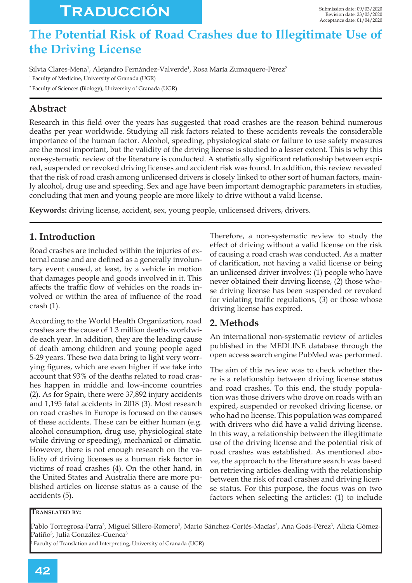# **Traducción**

# The Potential Risk of Road Crashes due to Illegitimate Use of **the Driving License**

Silvia Clares-Mena<sup>1</sup>, Alejandro Fernández-Valverde<sup>1</sup>, Rosa María Zumaquero-Pérez<sup>2</sup> 1 Faculty of Medicine, University of Granada (UGR) 2 Faculty of Sciences (Biology), University of Granada (UGR)

# **Abstract**

Research in this field over the years has suggested that road crashes are the reason behind numerous deaths per year worldwide. Studying all risk factors related to these accidents reveals the considerable importance of the human factor. Alcohol, speeding, physiological state or failure to use safety measures are the most important, but the validity of the driving license is studied to a lesser extent. This is why this non-systematic review of the literature is conducted. A statistically significant relationship between expired, suspended or revoked driving licenses and accident risk was found. In addition, this review revealed that the risk of road crash among unlicensed drivers is closely linked to other sort of human factors, mainly alcohol, drug use and speeding. Sex and age have been important demographic parameters in studies, concluding that men and young people are more likely to drive without a valid license.

**Keywords:** driving license, accident, sex, young people, unlicensed drivers, drivers.

## **1. Introduction**

Road crashes are included within the injuries of external cause and are defined as a generally involuntary event caused, at least, by a vehicle in motion that damages people and goods involved in it. This affects the traffic flow of vehicles on the roads involved or within the area of influence of the road crash (1).

According to the World Health Organization, road crashes are the cause of 1.3 million deaths worldwide each year. In addition, they are the leading cause of death among children and young people aged 5-29 years. These two data bring to light very worr ying figures, which are even higher if we take into account that 93% of the deaths related to road crashes happen in middle and low-income countries  $(2)$ . As for Spain, there were 37,892 injury accidents and 1,195 fatal accidents in 2018 (3). Most research on road crashes in Europe is focused on the causes of these accidents. These can be either human (e.g. alcohol consumption, drug use, physiological state while driving or speeding), mechanical or climatic. However, there is not enough research on the validity of driving licenses as a human risk factor in victims of road crashes (4). On the other hand, in the United States and Australia there are more published articles on license status as a cause of the accidents (5).

Therefore, a non-systematic review to study the effect of driving without a valid license on the risk of causing a road crash was conducted. As a matter of clarification, not having a valid license or being an unlicensed driver involves: (1) people who have never obtained their driving license, (2) those whose driving license has been suspended or revoked for violating traffic regulations,  $(3)$  or those whose driving license has expired.

## 2. Methods

An international non-systematic review of articles published in the MEDLINE database through the open access search engine PubMed was performed.

The aim of this review was to check whether there is a relationship between driving license status and road crashes. To this end, the study population was those drivers who drove on roads with an expired, suspended or revoked driving license, or who had no license. This population was compared with drivers who did have a valid driving license. In this way, a relationship between the illegitimate use of the driving license and the potential risk of road crashes was established. As mentioned above, the approach to the literature search was based on retrieving articles dealing with the relationship between the risk of road crashes and driving license status. For this purpose, the focus was on two factors when selecting the articles: (1) to include

#### **TRANSLATED BY:**

Pablo Torregrosa-Parra<sup>3</sup>, Miguel Sillero-Romero<sup>3</sup>, Mario Sánchez-Cortés-Macías<sup>3</sup>, Ana Goás-Pérez<sup>3</sup>, Alicia Gómez-Patiño<sup>3</sup>, Julia González-Cuenca<sup>3</sup>

3 Faculty of Translation and Interpreting, University of Granada (UGR)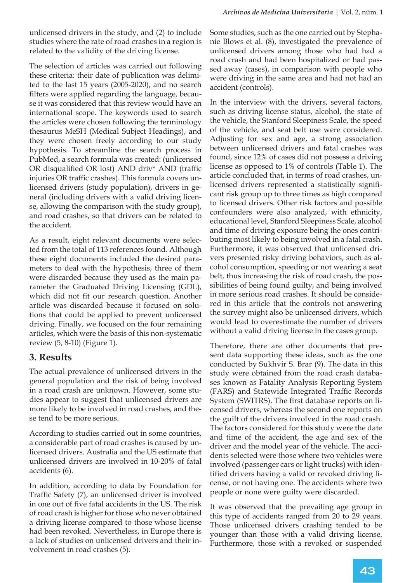unlicensed drivers in the study, and (2) to include studies where the rate of road crashes in a region is related to the validity of the driving license.

The selection of articles was carried out following these criteria: their date of publication was delimited to the last 15 years (2005-2020), and no search filters were applied regarding the language, because it was considered that this review would have an international scope. The keywords used to search the articles were chosen following the terminology thesaurus MeSH (Medical Subject Headings), and they were chosen freely according to our study hypothesis. To streamline the search process in PubMed, a search formula was created: (unlicensed OR disqualified OR lost) AND driv\* AND (traffic injuries OR traffic crashes). This formula covers unlicensed drivers (study population), drivers in general (including drivers with a valid driving license, allowing the comparison with the study group), and road crashes, so that drivers can be related to the accident.

As a result, eight relevant documents were selected from the total of 113 references found. Although these eight documents included the desired parameters to deal with the hypothesis, three of them were discarded because they used as the main parameter the Graduated Driving Licensing (GDL), which did not fit our research question. Another article was discarded because it focused on solutions that could be applied to prevent unlicensed driving. Finally, we focused on the four remaining articles, which were the basis of this non-systematic review  $(5, 8-10)$  (Figure 1).

## **3. Results**

The actual prevalence of unlicensed drivers in the general population and the risk of being involved in a road crash are unknown. However, some studies appear to suggest that unlicensed drivers are more likely to be involved in road crashes, and these tend to be more serious.

According to studies carried out in some countries, a considerable part of road crashes is caused by unlicensed drivers. Australia and the US estimate that unlicensed drivers are involved in 10-20% of fatal accidents (6).

In addition, according to data by Foundation for Traffic Safety (7), an unlicensed driver is involved in one out of five fatal accidents in the US. The risk of road crash is higher for those who never obtained a driving license compared to those whose license had been revoked. Nevertheless, in Europe there is a lack of studies on unlicensed drivers and their involvement in road crashes (5).

Some studies, such as the one carried out by Stephanie Blows et al.  $(8)$ , investigated the prevalence of unlicensed drivers among those who had had a road crash and had been hospitalized or had passed away (cases), in comparison with people who were driving in the same area and had not had an accident (controls).

In the interview with the drivers, several factors, such as driving license status, alcohol, the state of the vehicle, the Stanford Sleepiness Scale, the speed of the vehicle, and seat belt use were considered. Adjusting for sex and age, a strong association between unlicensed drivers and fatal crashes was found, since 12% of cases did not possess a driving license as opposed to 1% of controls (Table 1). The article concluded that, in terms of road crashes, unlicensed drivers represented a statistically significant risk group up to three times as high compared to licensed drivers. Other risk factors and possible confounders were also analyzed, with ethnicity, educational level, Stanford Sleepiness Scale, alcohol and time of driving exposure being the ones contributing most likely to being involved in a fatal crash. Furthermore, it was observed that unlicensed drivers presented risky driving behaviors, such as alcohol consumption, speeding or not wearing a seat belt, thus increasing the risk of road crash, the possibilities of being found guilty, and being involved in more serious road crashes. It should be considered in this article that the controls not answering the survey might also be unlicensed drivers, which would lead to overestimate the number of drivers without a valid driving license in the cases group.

Therefore, there are other documents that present data supporting these ideas, such as the one conducted by Sukhvir S. Brar (9). The data in this study were obtained from the road crash databases known as Fatality Analysis Reporting System (FARS) and Statewide Integrated Traffic Records System (SWITRS). The first database reports on licensed drivers, whereas the second one reports on the guilt of the drivers involved in the road crash. The factors considered for this study were the date and time of the accident, the age and sex of the driver and the model year of the vehicle. The accidents selected were those where two vehicles were involved (passenger cars or light trucks) with identified drivers having a valid or revoked driving license, or not having one. The accidents where two people or none were guilty were discarded.

It was observed that the prevailing age group in this type of accidents ranged from 20 to 29 years. Those unlicensed drivers crashing tended to be younger than those with a valid driving license. Furthermore, those with a revoked or suspended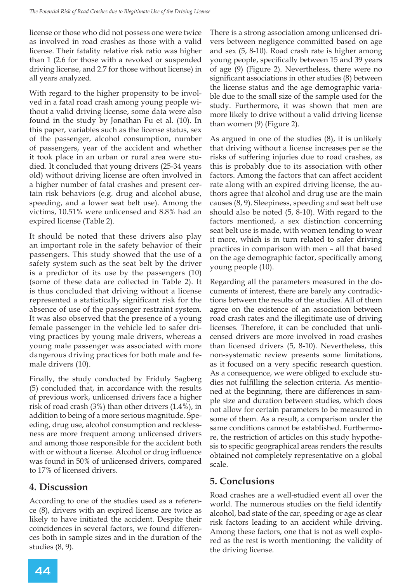license or those who did not possess one were twice as involved in road crashes as those with a valid license. Their fatality relative risk ratio was higher than 1 (2.6 for those with a revoked or suspended driving license, and 2.7 for those without license) in all years analyzed.

With regard to the higher propensity to be involved in a fatal road crash among young people without a valid driving license, some data were also found in the study by Jonathan Fu et al. (10). In this paper, variables such as the license status, sex of the passenger, alcohol consumption, number of passengers, year of the accident and whether it took place in an urban or rural area were studied. It concluded that young drivers (25-34 years old) without driving license are often involved in a higher number of fatal crashes and present certain risk behaviors (e.g. drug and alcohol abuse, speeding, and a lower seat belt use). Among the victims, 10.51% were unlicensed and 8.8% had an expired license (Table 2).

It should be noted that these drivers also play an important role in the safety behavior of their passengers. This study showed that the use of a safety system such as the seat belt by the driver is a predictor of its use by the passengers (10) (some of these data are collected in Table 2). It is thus concluded that driving without a license represented a statistically significant risk for the absence of use of the passenger restraint system. It was also observed that the presence of a young female passenger in the vehicle led to safer driving practices by young male drivers, whereas a young male passenger was associated with more dangerous driving practices for both male and female drivers (10).

Finally, the study conducted by Friduly Sagberg (5) concluded that, in accordance with the results of previous work, unlicensed drivers face a higher risk of road crash (3%) than other drivers (1.4%), in addition to being of a more serious magnitude. Speeding, drug use, alcohol consumption and recklessness are more frequent among unlicensed drivers and among those responsible for the accident both with or without a license. Alcohol or drug influence was found in 50% of unlicensed drivers, compared to 17% of licensed drivers.

# **4. Discussion**

According to one of the studies used as a reference  $(8)$ , drivers with an expired license are twice as likely to have initiated the accident. Despite their coincidences in several factors, we found differences both in sample sizes and in the duration of the studies  $(8, 9)$ .

There is a strong association among unlicensed drivers between negligence committed based on age and sex  $(5, 8-10)$ . Road crash rate is higher among young people, specifically between 15 and 39 years of age (9) (Figure 2). Nevertheless, there were no significant associations in other studies (8) between the license status and the age demographic variable due to the small size of the sample used for the study. Furthermore, it was shown that men are more likely to drive without a valid driving license than women (9) (Figure 2).

As argued in one of the studies  $(8)$ , it is unlikely that driving without a license increases per se the risks of suffering injuries due to road crashes, as this is probably due to its association with other factors. Among the factors that can affect accident rate along with an expired driving license, the authors agree that alcohol and drug use are the main causes  $(8, 9)$ . Sleepiness, speeding and seat belt use should also be noted  $(5, 8-10)$ . With regard to the factors mentioned, a sex distinction concerning seat belt use is made, with women tending to wear it more, which is in turn related to safer driving practices in comparison with men – all that based on the age demographic factor, specifically among young people (10).

Regarding all the parameters measured in the documents of interest, there are barely any contradictions between the results of the studies. All of them agree on the existence of an association between road crash rates and the illegitimate use of driving licenses. Therefore, it can be concluded that unlicensed drivers are more involved in road crashes than licensed drivers (5, 8-10). Nevertheless, this non-systematic review presents some limitations, as it focused on a very specific research question. As a consequence, we were obliged to exclude studies not fulfilling the selection criteria. As mentioned at the beginning, there are differences in sample size and duration between studies, which does not allow for certain parameters to be measured in some of them. As a result, a comparison under the same conditions cannot be established. Furthermore, the restriction of articles on this study hypothesis to specific geographical areas renders the results obtained not completely representative on a global scale.

# **5. Conclusions**

Road crashes are a well-studied event all over the world. The numerous studies on the field identify alcohol, bad state of the car, speeding or age as clear risk factors leading to an accident while driving. Among these factors, one that is not as well explored as the rest is worth mentioning: the validity of the driving license.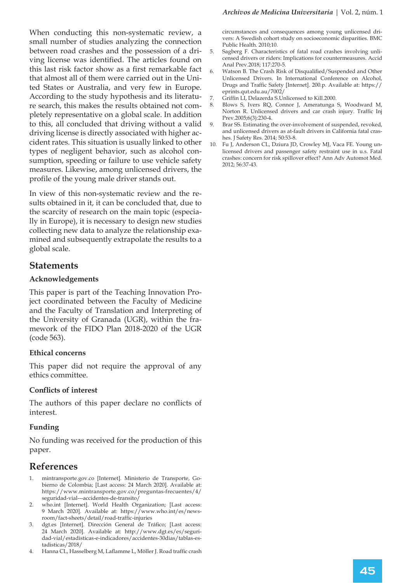When conducting this non-systematic review, a small number of studies analyzing the connection between road crashes and the possession of a driving license was identified. The articles found on this last risk factor show as a first remarkable fact that almost all of them were carried out in the United States or Australia, and very few in Europe. According to the study hypothesis and its literature search, this makes the results obtained not completely representative on a global scale. In addition to this, all concluded that driving without a valid driving license is directly associated with higher accident rates. This situation is usually linked to other types of negligent behavior, such as alcohol consumption, speeding or failure to use vehicle safety measures. Likewise, among unlicensed drivers, the profile of the young male driver stands out.

In view of this non-systematic review and the results obtained in it, it can be concluded that, due to the scarcity of research on the main topic (especially in Europe), it is necessary to design new studies collecting new data to analyze the relationship examined and subsequently extrapolate the results to a global scale.

## **Statements**

### **Acknowledgements**

This paper is part of the Teaching Innovation Project coordinated between the Faculty of Medicine and the Faculty of Translation and Interpreting of the University of Granada (UGR), within the framework of the FIDO Plan 2018-2020 of the UGR (code 563).

## **Ethical concerns**

This paper did not require the approval of any ethics committee.

#### **Conflicts of interest**

The authors of this paper declare no conflicts of interest.

## **Funding**

No funding was received for the production of this paper.

## **References**

- 1. mintransporte.gov.co [Internet]. Ministerio de Transporte, Gobierno de Colombia; [Last access: 24 March 2020]. Available at: https://www.mintransporte.gov.co/preguntas-frecuentes/4/ seguridad-vial---accidentes-de-transito/
- 2. who.int [Internet]. World Health Organization; [Last access: 9 March 2020]. Available at: https://www.who.int/es/newsroom/fact-sheets/detail/road-traffic-injuries
- 3. dgt.es [Internet]. Dirección General de Tráfico; [Last access: 24 March 2020]. Available at: http://www.dgt.es/es/seguridad-vial/estadisticas-e-indicadores/accidentes-30dias/tablas-estadisticas/2018/
- 4. Hanna CL, Hasselberg M, Laflamme L, Möller J. Road traffic crash

circumstances and consequences among young unlicensed drivers: A Swedish cohort study on socioeconomic disparities. BMC Public Health. 2010;10.

- 5. Sagberg F. Characteristics of fatal road crashes involving unlicensed drivers or riders: Implications for countermeasures. Accid Anal Prev.2018; 117:270-5.
- 6. Vatson B. The Crash Risk of Disqualified/Suspended and Other Unlicensed Drivers. In International Conference on Alcohol, Drugs and Traffic Safety [Internet]. 200.p. Available at: https:// eprints.qut.edu.au/7002/
- 7. Griffin LI, Delazerda S.Unlicensed to Kill. 2000.<br>8. Blows S. Ivers RO, Connor J. Ameratunga
- Blows S, Ivers RQ, Connor J, Ameratunga S, Woodward M, Norton R. Unlicensed drivers and car crash injury. Traffic Inj Prev.2005;6(3):230-4.
- 9. Brar SS. Estimating the over-involvement of suspended, revoked, and unlicensed drivers as at-fault drivers in California fatal crashes. J Safety Res. 2014; 50:53-8.
- 10. Fu J, Anderson CL, Dziura JD, Crowley MJ, Vaca FE. Young unlicensed drivers and passenger safety restraint use in u.s. Fatal crashes: concern for risk spillover effect? Ann Adv Automot Med. 2012; 56:37-43.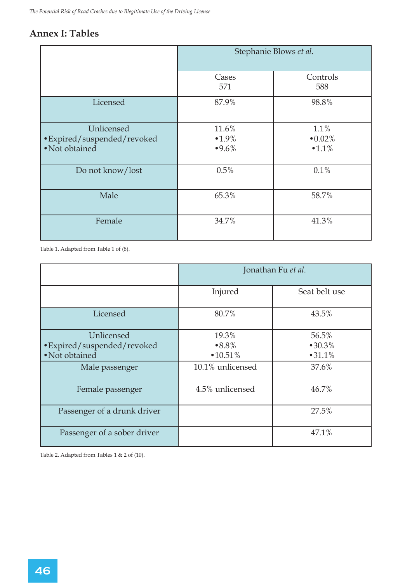## **Annex I: Tables**

|                                                             | Stephanie Blows et al.        |                               |
|-------------------------------------------------------------|-------------------------------|-------------------------------|
|                                                             | Cases<br>571                  | Controls<br>588               |
| Licensed                                                    | 87.9%                         | 98.8%                         |
| Unlicensed<br>• Expired/suspended/revoked<br>• Not obtained | 11.6%<br>$•1.9\%$<br>$•9.6\%$ | $1.1\%$<br>$•0.02\%$<br>•1.1% |
| Do not know/lost                                            | 0.5%                          | 0.1%                          |
| Male                                                        | 65.3%                         | 58.7%                         |
| Female                                                      | 34.7%                         | 41.3%                         |

Table 1. Adapted from Table 1 of (8).

|                                                                               | Jonathan Fu et al.                               |                                    |
|-------------------------------------------------------------------------------|--------------------------------------------------|------------------------------------|
|                                                                               | Injured                                          | Seat belt use                      |
| Licensed                                                                      | 80.7%                                            | 43.5%                              |
| Unlicensed<br>• Expired/suspended/revoked<br>• Not obtained<br>Male passenger | 19.3%<br>$•8.8\%$<br>•10.51%<br>10.1% unlicensed | 56.5%<br>•30.3%<br>•31.1%<br>37.6% |
| Female passenger                                                              | 4.5% unlicensed                                  | 46.7%                              |
| Passenger of a drunk driver                                                   |                                                  | 27.5%                              |
| Passenger of a sober driver                                                   |                                                  | 47.1%                              |

Table 2. Adapted from Tables 1 & 2 of (10).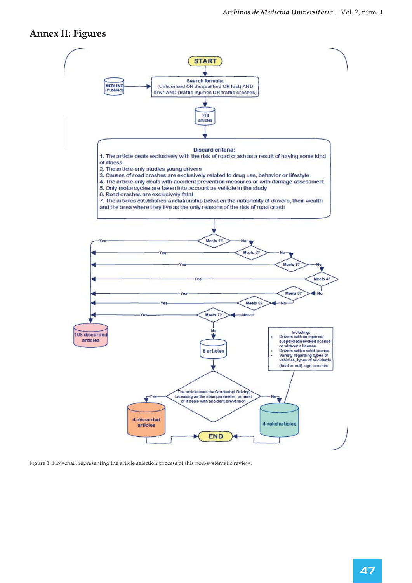## **Annex II: Figures**



Figure 1. Flowchart representing the article selection process of this non-systematic review.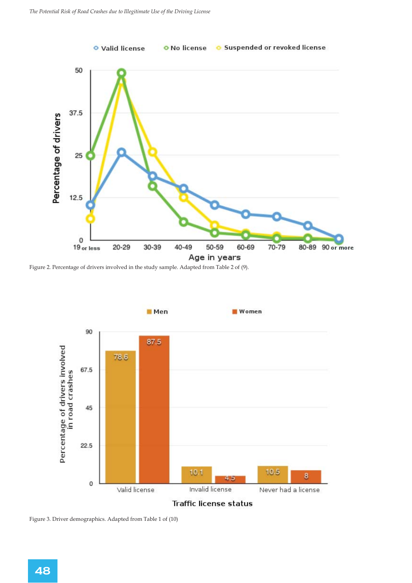

Figure 2. Percentage of drivers involved in the study sample. Adapted from Table 2 of (9).



Traffic license status

Figure 3. Driver demographics. Adapted from Table 1 of (10)